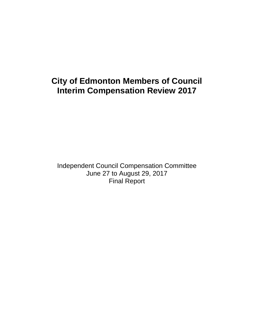# **City of Edmonton Members of Council Interim Compensation Review 2017**

Independent Council Compensation Committee June 27 to August 29, 2017 Final Report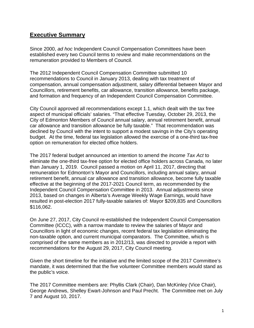# **Executive Summary**

Since 2000, ad hoc Independent Council Compensation Committees have been established every two Council terms to review and make recommendations on the remuneration provided to Members of Council.

The 2012 Independent Council Compensation Committee submitted 10 recommendations to Council in January 2013, dealing with tax treatment of compensation, annual compensation adjustment, salary differential between Mayor and Councillors, retirement benefits, car allowance, transition allowance, benefits package, and formation and frequency of an Independent Council Compensation Committee.

City Council approved all recommendations except 1.1, which dealt with the tax free aspect of municipal officials' salaries. "That effective Tuesday, October 29, 2013, the City of Edmonton Members of Council annual salary, annual retirement benefit, annual car allowance and transition allowance be fully taxable." That recommendation was declined by Council with the intent to support a modest savings in the City's operating budget. At the time, federal tax legislation allowed the exercise of a one-third tax-free option on remuneration for elected office holders.

The 2017 federal budget announced an intention to amend the *Income Tax Act* to eliminate the one-third tax-free option for elected office holders across Canada, no later than January 1, 2019. Council passed a motion on April 11, 2017, directing that remuneration for Edmonton's Mayor and Councillors, including annual salary, annual retirement benefit, annual car allowance and transition allowance, become fully taxable effective at the beginning of the 2017-2021 Council term, as recommended by the Independent Council Compensation Committee in 2013. Annual adjustments since 2013, based on changes in Alberta's Average Weekly Wage Earnings, would have resulted in post-election 2017 fully-taxable salaries of: Mayor \$209,835 and Councillors \$116,062.

On June 27, 2017, City Council re-established the Independent Council Compensation Committee (ICCC), with a narrow mandate to review the salaries of Mayor and Councillors in light of economic changes, recent federal tax legislation eliminating the non-taxable option, and current municipal comparators. The Committee, which is comprised of the same members as in 2012/13, was directed to provide a report with recommendations for the August 29, 2017, City Council meeting.

Given the short timeline for the initiative and the limited scope of the 2017 Committee's mandate, it was determined that the five volunteer Committee members would stand as the public's voice.

The 2017 Committee members are: Phyllis Clark (Chair), Dan McKinley (Vice Chair), George Andrews, Shelley Ewart-Johnson and Paul Precht. The Committee met on July 7 and August 10, 2017.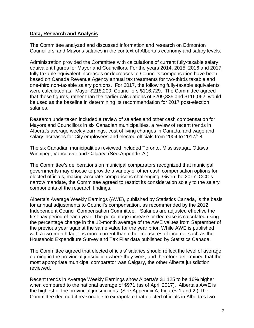### **Data, Research and Analysis**

The Committee analyzed and discussed information and research on Edmonton Councillors' and Mayor's salaries in the context of Alberta's economy and salary levels.

Administration provided the Committee with calculations of current fully-taxable salary equivalent figures for Mayor and Councillors. For the years 2014, 2015, 2016 and 2017, fully taxable equivalent increases or decreases to Council's compensation have been based on Canada Revenue Agency annual tax treatments for two-thirds taxable and one-third non-taxable salary portions. For 2017, the following fully-taxable equivalents were calculated as: Mayor \$218,200; Councillors \$116,729. The Committee agreed that these figures, rather than the earlier calculations of \$209,835 and \$116,062, would be used as the baseline in determining its recommendation for 2017 post-election salaries.

Research undertaken included a review of salaries and other cash compensation for Mayors and Councillors in six Canadian municipalities, a review of recent trends in Alberta's average weekly earnings, cost of living changes in Canada, and wage and salary increases for City employees and elected officials from 2004 to 2017/18.

The six Canadian municipalities reviewed included Toronto, Mississauga, Ottawa, Winnipeg, Vancouver and Calgary. (See Appendix A.)

The Committee's deliberations on municipal comparators recognized that municipal governments may choose to provide a variety of other cash compensation options for elected officials, making accurate comparisons challenging. Given the 2017 ICCC's narrow mandate, the Committee agreed to restrict its consideration solely to the salary components of the research findings.

Alberta's Average Weekly Earnings (AWE), published by Statistics Canada, is the basis for annual adjustments to Council's compensation, as recommended by the 2012 Independent Council Compensation Committee. Salaries are adjusted effective the first pay period of each year. The percentage increase or decrease is calculated using the percentage change in the 12-month average of the AWE values from September of the previous year against the same value for the year prior. While AWE is published with a two-month lag, it is more current than other measures of income, such as the Household Expenditure Survey and Tax Filer data published by Statistics Canada.

The Committee agreed that elected officials' salaries should reflect the level of average earning in the provincial jurisdiction where they work, and therefore determined that the most appropriate municipal comparator was Calgary, the other Alberta jurisdiction reviewed.

Recent trends in Average Weekly Earnings show Alberta's \$1,125 to be 16% higher when compared to the national average of \$971 (as of April 2017). Alberta's AWE is the highest of the provincial jurisdictions. (See Appendix A, Figures 1 and 2.) The Committee deemed it reasonable to extrapolate that elected officials in Alberta's two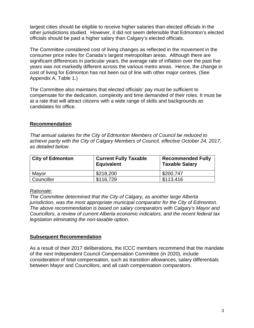largest cities should be eligible to receive higher salaries than elected officials in the other jurisdictions studied. However, it did not seem defensible that Edmonton's elected officials should be paid a higher salary than Calgary's elected officials.

The Committee considered cost of living changes as reflected in the movement in the consumer price index for Canada's largest metropolitan areas. Although there are significant differences in particular years, the average rate of inflation over the past five years was not markedly different across the various metro areas. Hence, the change in cost of living for Edmonton has not been out of line with other major centres. (See Appendix A, Table 1.)

The Committee also maintains that elected officials' pay must be sufficient to compensate for the dedication, complexity and time demanded of their roles. It must be at a rate that will attract citizens with a wide range of skills and backgrounds as candidates for office.

## **Recommendation**

That annual salaries for the City of Edmonton Members of Council be reduced to achieve parity with the City of Calgary Members of Council, effective October 24, 2017, as detailed below.

| <b>City of Edmonton</b> | <b>Current Fully Taxable</b><br><b>Equivalent</b> | <b>Recommended Fully</b><br><b>Taxable Salary</b> |
|-------------------------|---------------------------------------------------|---------------------------------------------------|
| Mayor                   | \$218,200                                         | \$200.747                                         |
| Councillor              | \$116,729                                         | \$113,416                                         |

#### Rationale:

The Committee determined that the City of Calgary, as another large Alberta jurisdiction, was the most appropriate municipal comparator for the City of Edmonton. The above recommendation is based on salary comparators with Calgary's Mayor and Councillors, a review of current Alberta economic indicators, and the recent federal tax legislation eliminating the non-taxable option.

#### **Subsequent Recommendation**

As a result of their 2017 deliberations, the ICCC members recommend that the mandate of the next Independent Council Compensation Committee (in 2020), include consideration of total compensation, such as transition allowances, salary differentials between Mayor and Councillors, and all cash compensation comparators.